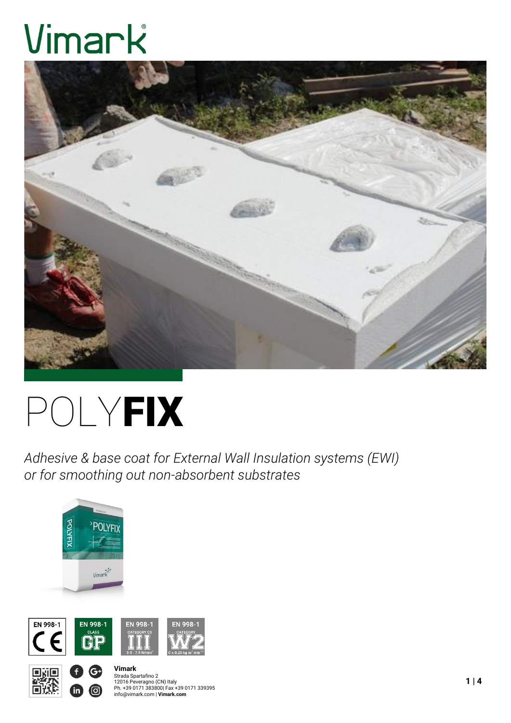# Vimark



# POLYFIX

*Adhesive & base coat for External Wall Insulation systems (EWI) or for smoothing out non-absorbent substrates*





G

ම



## **Vimark** Strada Spartafino 2<br>12016 Peveragno (CN) Italy<br>Ph. +39 0171 383800| Fax +39 0171 339395<br>info@vimark.com | **Vimark.com**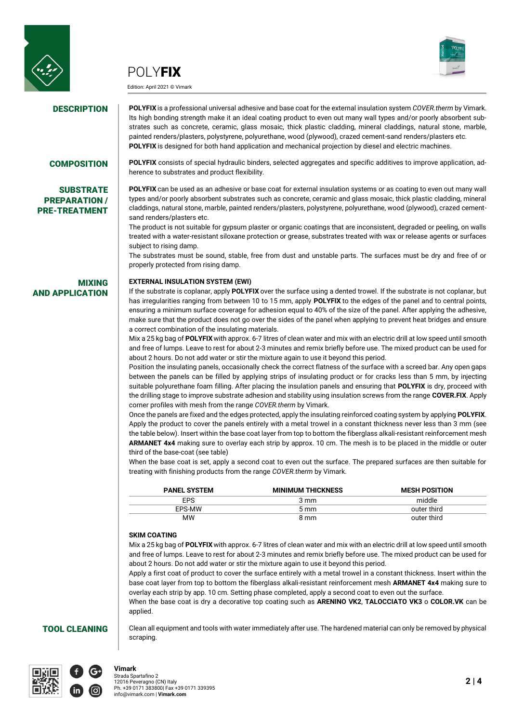



Edition: April 2021 © Vimark



**DESCRIPTION** POLYFIX is a professional universal adhesive and base coat for the external insulation system *COVER.therm* by Vimark. Its high bonding strength make it an ideal coating product to even out many wall types and/or poorly absorbent substrates such as concrete, ceramic, glass mosaic, thick plastic cladding, mineral claddings, natural stone, marble, painted renders/plasters, polystyrene, polyurethane, wood (plywood), crazed cement-sand renders/plasters etc. **POLYFIX** is designed for both hand application and mechanical projection by diesel and electric machines.

### **SUBSTRATE** PREPARATION / PRE-TREATMENT

AND APPLICATION

MIXING

**COMPOSITION POLYFIX** consists of special hydraulic binders, selected aggregates and specific additives to improve application, adherence to substrates and product flexibility.

> **POLYFIX** can be used as an adhesive or base coat for external insulation systems or as coating to even out many wall types and/or poorly absorbent substrates such as concrete, ceramic and glass mosaic, thick plastic cladding, mineral claddings, natural stone, marble, painted renders/plasters, polystyrene, polyurethane, wood (plywood), crazed cementsand renders/plasters etc.

> The product is not suitable for gypsum plaster or organic coatings that are inconsistent, degraded or peeling, on walls treated with a water-resistant siloxane protection or grease, substrates treated with wax or release agents or surfaces subject to rising damp.

> The substrates must be sound, stable, free from dust and unstable parts. The surfaces must be dry and free of or properly protected from rising damp.

### **EXTERNAL INSULATION SYSTEM (EWI)**

If the substrate is coplanar, apply **POLYFIX** over the surface using a dented trowel. If the substrate is not coplanar, but has irregularities ranging from between 10 to 15 mm, apply **POLYFIX** to the edges of the panel and to central points, ensuring a minimum surface coverage for adhesion equal to 40% of the size of the panel. After applying the adhesive, make sure that the product does not go over the sides of the panel when applying to prevent heat bridges and ensure a correct combination of the insulating materials.

Mix a 25 kg bag of **POLYFIX** with approx. 6-7 litres of clean water and mix with an electric drill at low speed until smooth and free of lumps. Leave to rest for about 2-3 minutes and remix briefly before use. The mixed product can be used for about 2 hours. Do not add water or stir the mixture again to use it beyond this period.

Position the insulating panels, occasionally check the correct flatness of the surface with a screed bar. Any open gaps between the panels can be filled by applying strips of insulating product or for cracks less than 5 mm, by injecting suitable polyurethane foam filling. After placing the insulation panels and ensuring that **POLYFIX** is dry, proceed with the drilling stage to improve substrate adhesion and stability using insulation screws from the range **COVER.FIX**. Apply corner profiles with mesh from the range *COVER.therm* by Vimark.

Once the panels are fixed and the edges protected, apply the insulating reinforced coating system by applying **POLYFIX**. Apply the product to cover the panels entirely with a metal trowel in a constant thickness never less than 3 mm (see the table below). Insert within the base coat layer from top to bottom the fiberglass alkali-resistant reinforcement mesh **ARMANET 4x4** making sure to overlay each strip by approx. 10 cm. The mesh is to be placed in the middle or outer third of the base-coat (see table)

When the base coat is set, apply a second coat to even out the surface. The prepared surfaces are then suitable for treating with finishing products from the range *COVER.therm* by Vimark.

| <b>PANEL SYSTEM</b> | <b>MINIMUM THICKNESS</b> | <b>MESH POSITION</b> |
|---------------------|--------------------------|----------------------|
| <b>EPS</b>          | 3 mm                     | middle               |
| EPS-MW              | 5 mm                     | outer third          |
| MW                  | 8 mm                     | outer third          |

#### **SKIM COATING**

 $\sim$  $\overline{a}$ 

Mix a 25 kg bag of **POLYFIX** with approx. 6-7 litres of clean water and mix with an electric drill at low speed until smooth and free of lumps. Leave to rest for about 2-3 minutes and remix briefly before use. The mixed product can be used for about 2 hours. Do not add water or stir the mixture again to use it beyond this period.

Apply a first coat of product to cover the surface entirely with a metal trowel in a constant thickness. Insert within the base coat layer from top to bottom the fiberglass alkali-resistant reinforcement mesh **ARMANET 4x4** making sure to overlay each strip by app. 10 cm. Setting phase completed, apply a second coat to even out the surface.

When the base coat is dry a decorative top coating such as **ARENINO VK2**, **TALOCCIATO VK3** o **COLOR.VK** can be applied.

TOOL CLEANING Clean all equipment and tools with water immediately after use. The hardened material can only be removed by physical scraping.



#### **Vimark**

Strada Spartafino 2 12016 Peveragno (CN) Italy Ph. +39 0171 383800| Fax +39 0171 339395 info@vimark.com | **Vimark.com**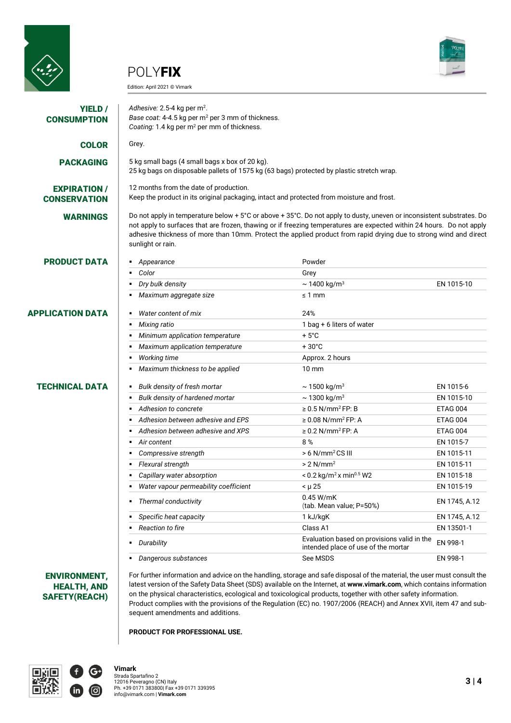







| YIELD /<br><b>CONSUMPTION</b>              | Adhesive: 2.5-4 kg per m <sup>2</sup> .<br>Base coat: 4-4.5 kg per m <sup>2</sup> per 3 mm of thickness.<br>Coating: 1.4 kg per m <sup>2</sup> per mm of thickness.                                                                                                                                                                                                                      |                                                                                    |                 |
|--------------------------------------------|------------------------------------------------------------------------------------------------------------------------------------------------------------------------------------------------------------------------------------------------------------------------------------------------------------------------------------------------------------------------------------------|------------------------------------------------------------------------------------|-----------------|
| <b>COLOR</b>                               | Grey.                                                                                                                                                                                                                                                                                                                                                                                    |                                                                                    |                 |
| <b>PACKAGING</b>                           | 5 kg small bags (4 small bags x box of 20 kg).<br>25 kg bags on disposable pallets of 1575 kg (63 bags) protected by plastic stretch wrap.                                                                                                                                                                                                                                               |                                                                                    |                 |
| <b>EXPIRATION /</b><br><b>CONSERVATION</b> | 12 months from the date of production.<br>Keep the product in its original packaging, intact and protected from moisture and frost.                                                                                                                                                                                                                                                      |                                                                                    |                 |
| <b>WARNINGS</b>                            | Do not apply in temperature below + 5°C or above + 35°C. Do not apply to dusty, uneven or inconsistent substrates. Do<br>not apply to surfaces that are frozen, thawing or if freezing temperatures are expected within 24 hours. Do not apply<br>adhesive thickness of more than 10mm. Protect the applied product from rapid drying due to strong wind and direct<br>sunlight or rain. |                                                                                    |                 |
| <b>PRODUCT DATA</b>                        | Appearance                                                                                                                                                                                                                                                                                                                                                                               | Powder                                                                             |                 |
|                                            | Color<br>٠                                                                                                                                                                                                                                                                                                                                                                               | Grey                                                                               |                 |
|                                            | Dry bulk density                                                                                                                                                                                                                                                                                                                                                                         | $\sim$ 1400 kg/m <sup>3</sup>                                                      | EN 1015-10      |
|                                            | Maximum aggregate size                                                                                                                                                                                                                                                                                                                                                                   | $\leq 1$ mm                                                                        |                 |
| <b>APPLICATION DATA</b>                    | Water content of mix                                                                                                                                                                                                                                                                                                                                                                     | 24%                                                                                |                 |
|                                            | Mixing ratio                                                                                                                                                                                                                                                                                                                                                                             | 1 bag + 6 liters of water                                                          |                 |
|                                            | Minimum application temperature                                                                                                                                                                                                                                                                                                                                                          | $+5^{\circ}$ C                                                                     |                 |
|                                            | Maximum application temperature                                                                                                                                                                                                                                                                                                                                                          | $+30^{\circ}$ C                                                                    |                 |
|                                            | <b>Working time</b>                                                                                                                                                                                                                                                                                                                                                                      | Approx. 2 hours                                                                    |                 |
|                                            | Maximum thickness to be applied                                                                                                                                                                                                                                                                                                                                                          | $10 \text{ mm}$                                                                    |                 |
| <b>TECHNICAL DATA</b>                      | Bulk density of fresh mortar                                                                                                                                                                                                                                                                                                                                                             | $\sim$ 1500 kg/m <sup>3</sup>                                                      | EN 1015-6       |
|                                            | Bulk density of hardened mortar                                                                                                                                                                                                                                                                                                                                                          | $\sim$ 1300 kg/m <sup>3</sup>                                                      | EN 1015-10      |
|                                            | Adhesion to concrete                                                                                                                                                                                                                                                                                                                                                                     | $\geq$ 0.5 N/mm <sup>2</sup> FP: B                                                 | <b>ETAG 004</b> |
|                                            | Adhesion between adhesive and EPS                                                                                                                                                                                                                                                                                                                                                        | $\geq$ 0.08 N/mm <sup>2</sup> FP: A                                                | <b>ETAG 004</b> |
|                                            | Adhesion between adhesive and XPS                                                                                                                                                                                                                                                                                                                                                        | $\geq$ 0.2 N/mm <sup>2</sup> FP: A                                                 | <b>ETAG 004</b> |
|                                            | Air content                                                                                                                                                                                                                                                                                                                                                                              | 8%                                                                                 | EN 1015-7       |
|                                            | Compressive strength                                                                                                                                                                                                                                                                                                                                                                     | $> 6$ N/mm <sup>2</sup> CS III                                                     | EN 1015-11      |
|                                            | Flexural strength                                                                                                                                                                                                                                                                                                                                                                        | $> 2$ N/mm <sup>2</sup>                                                            | EN 1015-11      |
|                                            | Capillary water absorption                                                                                                                                                                                                                                                                                                                                                               | $< 0.2$ kg/m <sup>2</sup> x min <sup>0.5</sup> W2                                  | EN 1015-18      |
|                                            | Water vapour permeability coefficient                                                                                                                                                                                                                                                                                                                                                    | $< \mu 25$                                                                         | EN 1015-19      |
|                                            |                                                                                                                                                                                                                                                                                                                                                                                          | 0.45 W/mK                                                                          |                 |
|                                            | Thermal conductivity<br>٠                                                                                                                                                                                                                                                                                                                                                                | (tab. Mean value; P=50%)                                                           | EN 1745, A.12   |
|                                            | Specific heat capacity                                                                                                                                                                                                                                                                                                                                                                   | 1 kJ/kgK                                                                           | EN 1745, A.12   |
|                                            | Reaction to fire                                                                                                                                                                                                                                                                                                                                                                         | Class A1                                                                           | EN 13501-1      |
|                                            | Durability<br>٠                                                                                                                                                                                                                                                                                                                                                                          | Evaluation based on provisions valid in the<br>intended place of use of the mortar | EN 998-1        |
|                                            | Dangerous substances                                                                                                                                                                                                                                                                                                                                                                     | See MSDS                                                                           | EN 998-1        |

## ENVIRONMENT, HEALTH, AND SAFETY(REACH)

For further information and advice on the handling, storage and safe disposal of the material, the user must consult the latest version of the Safety Data Sheet (SDS) available on the Internet, at **www.vimark.com**, which contains information on the physical characteristics, ecological and toxicological products, together with other safety information. Product complies with the provisions of the Regulation (EC) no. 1907/2006 (REACH) and Annex XVII, item 47 and subsequent amendments and additions.

**PRODUCT FOR PROFESSIONAL USE.**



Strada Spartafino 2<br>12016 Peveragno (CN) Italy<br>Ph. +39 0171 383800| Fax +39 0171 339395<br>info@vimark.com | **Vimark.com**